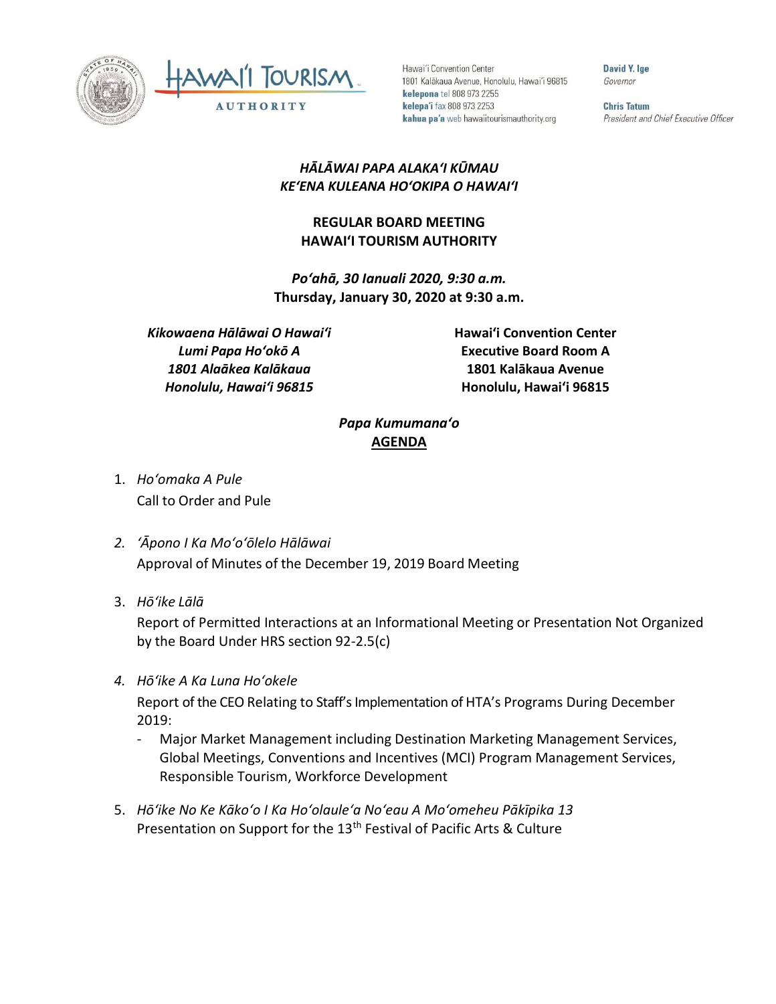



Hawai'i Convention Center 1801 Kalākaua Avenue, Honolulu, Hawai'i 96815 kelepona tel 808 973 2255 kelepa'i fax 808 973 2253 kahua pa'a web hawaiitourismauthority.org

David Y. lge Governor

**Chris Tatum** President and Chief Executive Officer

## *HĀLĀWAI PAPA ALAKAʻI KŪMAU KEʻENA KULEANA HOʻOKIPA O HAWAIʻI*

## **REGULAR BOARD MEETING HAWAI'I TOURISM AUTHORITY**

*Poʻahā, 30 Ianuali 2020, 9:30 a.m.* **Thursday, January 30, 2020 at 9:30 a.m.**

*Kikowaena Hālāwai O Hawaiʻi Lumi Papa Hoʻokō A 1801 Alaākea Kalākaua Honolulu, Hawaiʻi 96815*

**Hawai'i Convention Center Executive Board Room A 1801 Kalākaua Avenue Honolulu, Hawai'i 96815**

## *Papa Kumumanaʻo* **AGENDA**

- 1. *Ho'omaka A Pule* Call to Order and Pule
- *2. ʻĀpono I Ka Moʻoʻōlelo Hālāwai* Approval of Minutes of the December 19, 2019 Board Meeting
- 3. *Hō'ike Lālā*

Report of Permitted Interactions at an Informational Meeting or Presentation Not Organized by the Board Under HRS section 92-2.5(c)

*4. Hōʻike A Ka Luna Hoʻokele*

Report of the CEO Relating to Staff's Implementation of HTA's Programs During December 2019:

- Major Market Management including Destination Marketing Management Services, Global Meetings, Conventions and Incentives (MCI) Program Management Services, Responsible Tourism, Workforce Development
- 5. *Hōʻike No Ke Kākoʻo I Ka Hoʻolauleʻa Noʻeau A Moʻomeheu Pākīpika 13* Presentation on Support for the 13<sup>th</sup> Festival of Pacific Arts & Culture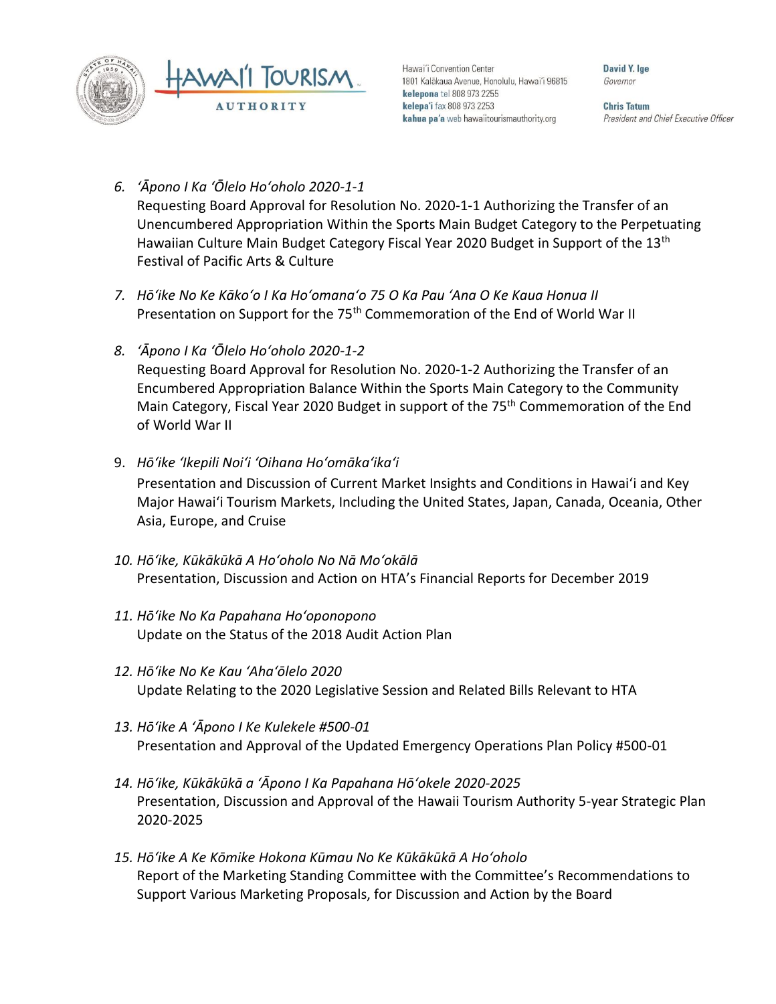

Hawai'i Convention Center 1801 Kalākaua Avenue, Honolulu, Hawai'i 96815 kelepona tel 808 973 2255 kelepa'i fax 808 973 2253 kahua pa'a web hawaiitourismauthority.org

David Y. Ine Governor

**Chris Tatum** President and Chief Executive Officer

- *6. ʻĀpono I Ka ʻŌlelo Hoʻoholo 2020-1-1* Requesting Board Approval for Resolution No. 2020-1-1 Authorizing the Transfer of an Unencumbered Appropriation Within the Sports Main Budget Category to the Perpetuating Hawaiian Culture Main Budget Category Fiscal Year 2020 Budget in Support of the 13<sup>th</sup> Festival of Pacific Arts & Culture
- *7. Hōʻike No Ke Kākoʻo I Ka Hoʻomanaʻo 75 O Ka Pau ʻAna O Ke Kaua Honua II* Presentation on Support for the 75<sup>th</sup> Commemoration of the End of World War II
- *8. ʻĀpono I Ka ʻŌlelo Hoʻoholo 2020-1-2* Requesting Board Approval for Resolution No. 2020-1-2 Authorizing the Transfer of an Encumbered Appropriation Balance Within the Sports Main Category to the Community Main Category, Fiscal Year 2020 Budget in support of the 75<sup>th</sup> Commemoration of the End of World War II
- 9. *Hōʻike ʻIkepili Noiʻi ʻOihana Hoʻomākaʻikaʻi*

Presentation and Discussion of Current Market Insights and Conditions in Hawai'i and Key Major Hawai'i Tourism Markets, Including the United States, Japan, Canada, Oceania, Other Asia, Europe, and Cruise

- *10. Hōʻike, Kūkākūkā A Hoʻoholo No Nā Moʻokālā* Presentation, Discussion and Action on HTA's Financial Reports for December 2019
- *11. Hōʻike No Ka Papahana Hoʻoponopono* Update on the Status of the 2018 Audit Action Plan
- *12. Hōʻike No Ke Kau ʻAhaʻōlelo 2020* Update Relating to the 2020 Legislative Session and Related Bills Relevant to HTA
- *13. Hōʻike A ʻĀpono I Ke Kulekele #500-01* Presentation and Approval of the Updated Emergency Operations Plan Policy #500-01
- *14. Hōʻike, Kūkākūkā a ʻĀpono I Ka Papahana Hōʻokele 2020-2025* Presentation, Discussion and Approval of the Hawaii Tourism Authority 5-year Strategic Plan 2020-2025
- *15. Hōʻike A Ke Kōmike Hokona Kūmau No Ke Kūkākūkā A Hoʻoholo* Report of the Marketing Standing Committee with the Committee's Recommendations to Support Various Marketing Proposals, for Discussion and Action by the Board